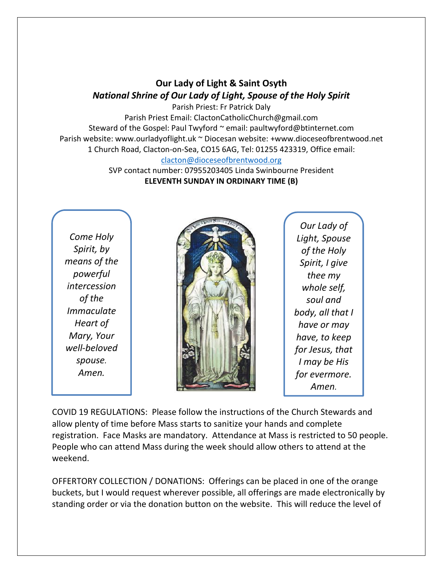## **Our Lady of Light & Saint Osyth** *National Shrine of Our Lady of Light, Spouse of the Holy Spirit*

Parish Priest: Fr Patrick Daly Parish Priest Email: ClactonCatholicChurch@gmail.com Steward of the Gospel: Paul Twyford ~ email: paultwyford@btinternet.com Parish website: www.ourladyoflight.uk ~ Diocesan website: +www.dioceseofbrentwood.net 1 Church Road, Clacton-on-Sea, CO15 6AG, Tel: 01255 423319, Office email: [clacton@dioceseofbrentwood.org](mailto:clacton@dioceseofbrentwood.org)

> SVP contact number: 07955203405 Linda Swinbourne President **ELEVENTH SUNDAY IN ORDINARY TIME (B)**

*Come Holy Spirit, by means of the powerful intercession of the Immaculate Heart of Mary, Your well-beloved spouse. Amen.*



*Our Lady of Light, Spouse of the Holy Spirit, I give thee my whole self, soul and body, all that I have or may have, to keep for Jesus, that I may be His for evermore. Amen.*

COVID 19 REGULATIONS: Please follow the instructions of the Church Stewards and allow plenty of time before Mass starts to sanitize your hands and complete registration. Face Masks are mandatory. Attendance at Mass is restricted to 50 people. People who can attend Mass during the week should allow others to attend at the weekend.

OFFERTORY COLLECTION / DONATIONS: Offerings can be placed in one of the orange buckets, but I would request wherever possible, all offerings are made electronically by standing order or via the donation button on the website. This will reduce the level of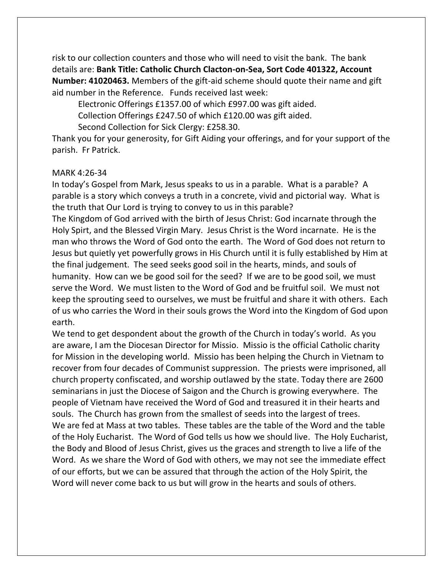risk to our collection counters and those who will need to visit the bank. The bank details are: **Bank Title: Catholic Church Clacton-on-Sea, Sort Code 401322, Account Number: 41020463.** Members of the gift-aid scheme should quote their name and gift aid number in the Reference. Funds received last week:

Electronic Offerings £1357.00 of which £997.00 was gift aided.

Collection Offerings £247.50 of which £120.00 was gift aided.

Second Collection for Sick Clergy: £258.30.

Thank you for your generosity, for Gift Aiding your offerings, and for your support of the parish. Fr Patrick.

## MARK 4:26-34

In today's Gospel from Mark, Jesus speaks to us in a parable. What is a parable? A parable is a story which conveys a truth in a concrete, vivid and pictorial way. What is the truth that Our Lord is trying to convey to us in this parable?

The Kingdom of God arrived with the birth of Jesus Christ: God incarnate through the Holy Spirt, and the Blessed Virgin Mary. Jesus Christ is the Word incarnate. He is the man who throws the Word of God onto the earth. The Word of God does not return to Jesus but quietly yet powerfully grows in His Church until it is fully established by Him at the final judgement. The seed seeks good soil in the hearts, minds, and souls of humanity. How can we be good soil for the seed? If we are to be good soil, we must serve the Word. We must listen to the Word of God and be fruitful soil. We must not keep the sprouting seed to ourselves, we must be fruitful and share it with others. Each of us who carries the Word in their souls grows the Word into the Kingdom of God upon earth.

We tend to get despondent about the growth of the Church in today's world. As you are aware, I am the Diocesan Director for Missio. Missio is the official Catholic charity for Mission in the developing world. Missio has been helping the Church in Vietnam to recover from four decades of Communist suppression. The priests were imprisoned, all church property confiscated, and worship outlawed by the state. Today there are 2600 seminarians in just the Diocese of Saigon and the Church is growing everywhere. The people of Vietnam have received the Word of God and treasured it in their hearts and souls. The Church has grown from the smallest of seeds into the largest of trees. We are fed at Mass at two tables. These tables are the table of the Word and the table of the Holy Eucharist. The Word of God tells us how we should live. The Holy Eucharist, the Body and Blood of Jesus Christ, gives us the graces and strength to live a life of the Word. As we share the Word of God with others, we may not see the immediate effect of our efforts, but we can be assured that through the action of the Holy Spirit, the Word will never come back to us but will grow in the hearts and souls of others.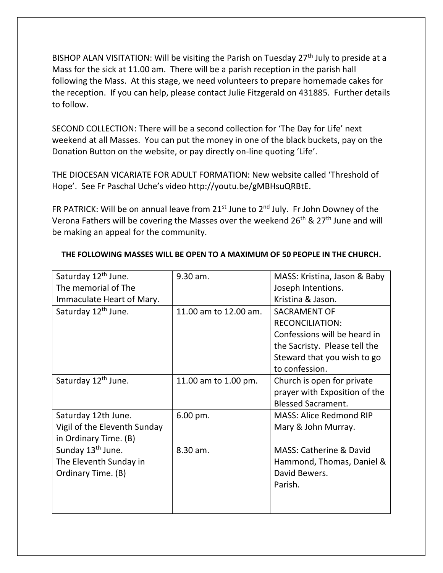BISHOP ALAN VISITATION: Will be visiting the Parish on Tuesday  $27<sup>th</sup>$  July to preside at a Mass for the sick at 11.00 am. There will be a parish reception in the parish hall following the Mass. At this stage, we need volunteers to prepare homemade cakes for the reception. If you can help, please contact Julie Fitzgerald on 431885. Further details to follow.

SECOND COLLECTION: There will be a second collection for 'The Day for Life' next weekend at all Masses. You can put the money in one of the black buckets, pay on the Donation Button on the website, or pay directly on-line quoting 'Life'.

THE DIOCESAN VICARIATE FOR ADULT FORMATION: New website called 'Threshold of Hope'. See Fr Paschal Uche's video http://youtu.be/gMBHsuQRBtE.

FR PATRICK: Will be on annual leave from  $21^{st}$  June to  $2^{nd}$  July. Fr John Downey of the Verona Fathers will be covering the Masses over the weekend  $26<sup>th</sup>$  &  $27<sup>th</sup>$  June and will be making an appeal for the community.

| Saturday 12 <sup>th</sup> June. | 9.30 am.              | MASS: Kristina, Jason & Baby       |
|---------------------------------|-----------------------|------------------------------------|
| The memorial of The             |                       | Joseph Intentions.                 |
| Immaculate Heart of Mary.       |                       | Kristina & Jason.                  |
| Saturday 12 <sup>th</sup> June. | 11.00 am to 12.00 am. | <b>SACRAMENT OF</b>                |
|                                 |                       | <b>RECONCILIATION:</b>             |
|                                 |                       | Confessions will be heard in       |
|                                 |                       | the Sacristy. Please tell the      |
|                                 |                       | Steward that you wish to go        |
|                                 |                       | to confession.                     |
| Saturday 12 <sup>th</sup> June. | 11.00 am to 1.00 pm.  | Church is open for private         |
|                                 |                       | prayer with Exposition of the      |
|                                 |                       | <b>Blessed Sacrament.</b>          |
| Saturday 12th June.             | 6.00 pm.              | <b>MASS: Alice Redmond RIP</b>     |
| Vigil of the Eleventh Sunday    |                       | Mary & John Murray.                |
| in Ordinary Time. (B)           |                       |                                    |
| Sunday 13 <sup>th</sup> June.   | 8.30 am.              | <b>MASS: Catherine &amp; David</b> |
| The Eleventh Sunday in          |                       | Hammond, Thomas, Daniel &          |
| Ordinary Time. (B)              |                       | David Bewers.                      |
|                                 |                       | Parish.                            |
|                                 |                       |                                    |
|                                 |                       |                                    |

## **THE FOLLOWING MASSES WILL BE OPEN TO A MAXIMUM OF 50 PEOPLE IN THE CHURCH.**